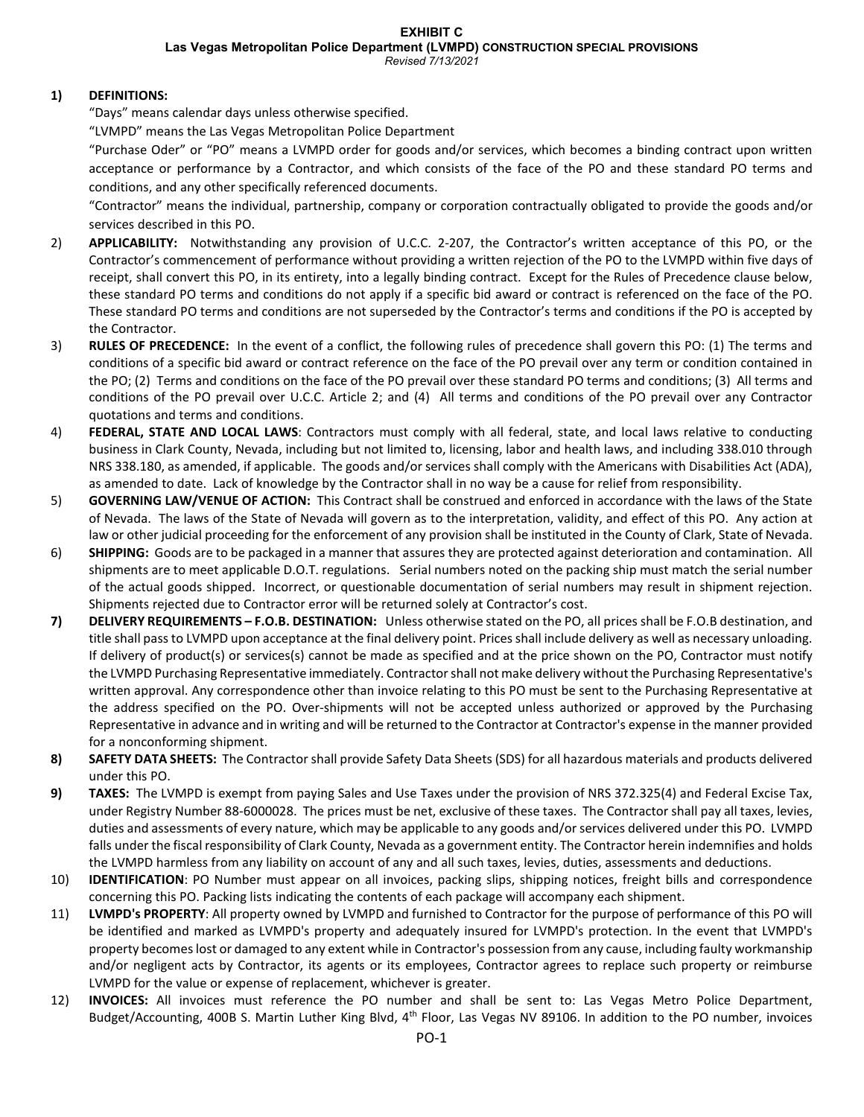**Las Vegas Metropolitan Police Department (LVMPD) CONSTRUCTION SPECIAL PROVISIONS**

### *Revised 7/13/2021*

# **1) DEFINITIONS:**

"Days" means calendar days unless otherwise specified.

"LVMPD" means the Las Vegas Metropolitan Police Department

"Purchase Oder" or "PO" means a LVMPD order for goods and/or services, which becomes a binding contract upon written acceptance or performance by a Contractor, and which consists of the face of the PO and these standard PO terms and conditions, and any other specifically referenced documents.

"Contractor" means the individual, partnership, company or corporation contractually obligated to provide the goods and/or services described in this PO.

- 2) **APPLICABILITY:** Notwithstanding any provision of U.C.C. 2-207, the Contractor's written acceptance of this PO, or the Contractor's commencement of performance without providing a written rejection of the PO to the LVMPD within five days of receipt, shall convert this PO, in its entirety, into a legally binding contract. Except for the Rules of Precedence clause below, these standard PO terms and conditions do not apply if a specific bid award or contract is referenced on the face of the PO. These standard PO terms and conditions are not superseded by the Contractor's terms and conditions if the PO is accepted by the Contractor.
- 3) **RULES OF PRECEDENCE:** In the event of a conflict, the following rules of precedence shall govern this PO: (1) The terms and conditions of a specific bid award or contract reference on the face of the PO prevail over any term or condition contained in the PO; (2) Terms and conditions on the face of the PO prevail over these standard PO terms and conditions; (3) All terms and conditions of the PO prevail over U.C.C. Article 2; and (4) All terms and conditions of the PO prevail over any Contractor quotations and terms and conditions.
- 4) **FEDERAL, STATE AND LOCAL LAWS**: Contractors must comply with all federal, state, and local laws relative to conducting business in Clark County, Nevada, including but not limited to, licensing, labor and health laws, and including 338.010 through NRS 338.180, as amended, if applicable. The goods and/or services shall comply with the Americans with Disabilities Act (ADA), as amended to date. Lack of knowledge by the Contractor shall in no way be a cause for relief from responsibility.
- 5) **GOVERNING LAW/VENUE OF ACTION:** This Contract shall be construed and enforced in accordance with the laws of the State of Nevada. The laws of the State of Nevada will govern as to the interpretation, validity, and effect of this PO. Any action at law or other judicial proceeding for the enforcement of any provision shall be instituted in the County of Clark, State of Nevada.
- 6) **SHIPPING:** Goods are to be packaged in a manner that assures they are protected against deterioration and contamination. All shipments are to meet applicable D.O.T. regulations. Serial numbers noted on the packing ship must match the serial number of the actual goods shipped. Incorrect, or questionable documentation of serial numbers may result in shipment rejection. Shipments rejected due to Contractor error will be returned solely at Contractor's cost.
- **7) DELIVERY REQUIREMENTS – F.O.B. DESTINATION:** Unless otherwise stated on the PO, all prices shall be F.O.B destination, and title shall pass to LVMPD upon acceptance at the final delivery point. Prices shall include delivery as well as necessary unloading. If delivery of product(s) or services(s) cannot be made as specified and at the price shown on the PO, Contractor must notify the LVMPD Purchasing Representative immediately. Contractor shall not make delivery without the Purchasing Representative's written approval. Any correspondence other than invoice relating to this PO must be sent to the Purchasing Representative at the address specified on the PO. Over-shipments will not be accepted unless authorized or approved by the Purchasing Representative in advance and in writing and will be returned to the Contractor at Contractor's expense in the manner provided for a nonconforming shipment.
- **8) SAFETY DATA SHEETS:** The Contractor shall provide Safety Data Sheets (SDS) for all hazardous materials and products delivered under this PO.
- **9) TAXES:** The LVMPD is exempt from paying Sales and Use Taxes under the provision of NRS 372.325(4) and Federal Excise Tax, under Registry Number 88-6000028. The prices must be net, exclusive of these taxes. The Contractor shall pay all taxes, levies, duties and assessments of every nature, which may be applicable to any goods and/or services delivered under this PO. LVMPD falls under the fiscal responsibility of Clark County, Nevada as a government entity. The Contractor herein indemnifies and holds the LVMPD harmless from any liability on account of any and all such taxes, levies, duties, assessments and deductions.
- 10) **IDENTIFICATION**: PO Number must appear on all invoices, packing slips, shipping notices, freight bills and correspondence concerning this PO. Packing lists indicating the contents of each package will accompany each shipment.
- 11) **LVMPD's PROPERTY**: All property owned by LVMPD and furnished to Contractor for the purpose of performance of this PO will be identified and marked as LVMPD's property and adequately insured for LVMPD's protection. In the event that LVMPD's property becomes lost or damaged to any extent while in Contractor's possession from any cause, including faulty workmanship and/or negligent acts by Contractor, its agents or its employees, Contractor agrees to replace such property or reimburse LVMPD for the value or expense of replacement, whichever is greater.
- 12) **INVOICES:** All invoices must reference the PO number and shall be sent to: Las Vegas Metro Police Department, Budget/Accounting, 400B S. Martin Luther King Blvd, 4<sup>th</sup> Floor, Las Vegas NV 89106. In addition to the PO number, invoices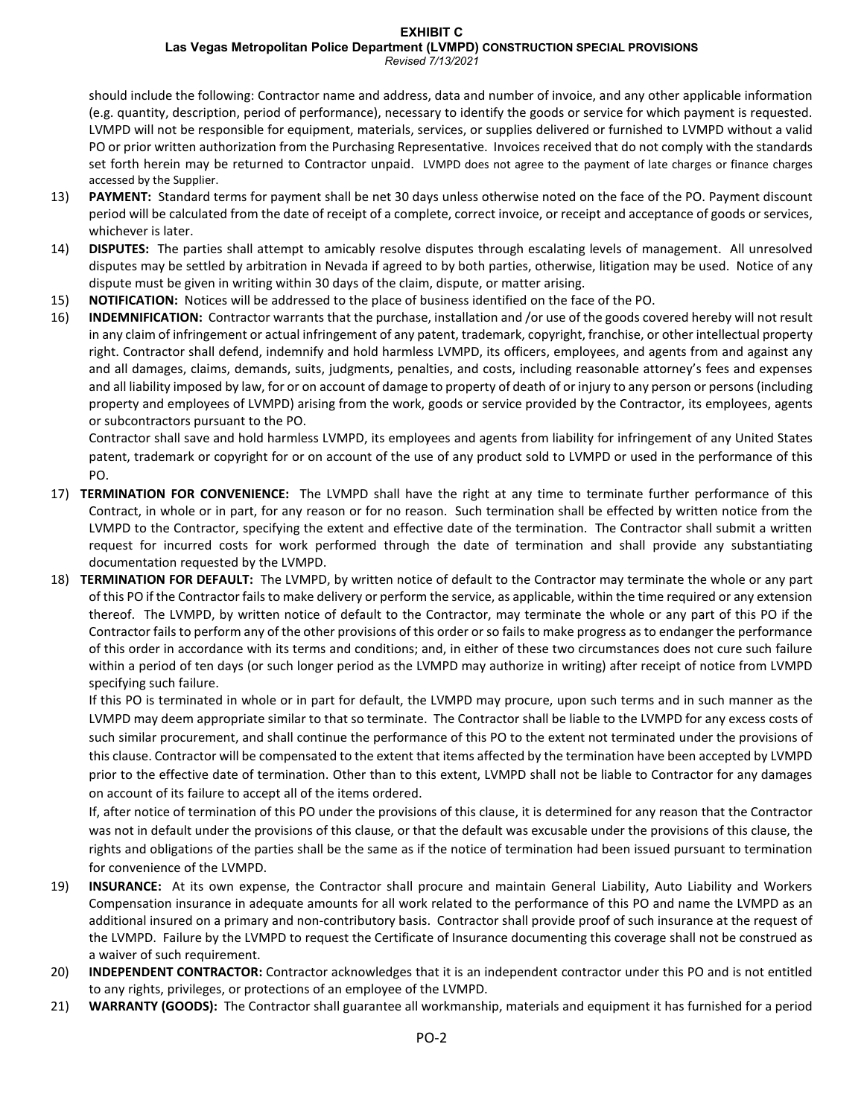#### **EXHIBIT C**

**Las Vegas Metropolitan Police Department (LVMPD) CONSTRUCTION SPECIAL PROVISIONS**

*Revised 7/13/2021*

should include the following: Contractor name and address, data and number of invoice, and any other applicable information (e.g. quantity, description, period of performance), necessary to identify the goods or service for which payment is requested. LVMPD will not be responsible for equipment, materials, services, or supplies delivered or furnished to LVMPD without a valid PO or prior written authorization from the Purchasing Representative. Invoices received that do not comply with the standards set forth herein may be returned to Contractor unpaid. LVMPD does not agree to the payment of late charges or finance charges accessed by the Supplier.

- 13) **PAYMENT:** Standard terms for payment shall be net 30 days unless otherwise noted on the face of the PO. Payment discount period will be calculated from the date of receipt of a complete, correct invoice, or receipt and acceptance of goods or services, whichever is later.
- 14) **DISPUTES:** The parties shall attempt to amicably resolve disputes through escalating levels of management. All unresolved disputes may be settled by arbitration in Nevada if agreed to by both parties, otherwise, litigation may be used. Notice of any dispute must be given in writing within 30 days of the claim, dispute, or matter arising.
- 15) **NOTIFICATION:** Notices will be addressed to the place of business identified on the face of the PO.
- 16) **INDEMNIFICATION:** Contractor warrants that the purchase, installation and /or use of the goods covered hereby will not result in any claim of infringement or actual infringement of any patent, trademark, copyright, franchise, or other intellectual property right. Contractor shall defend, indemnify and hold harmless LVMPD, its officers, employees, and agents from and against any and all damages, claims, demands, suits, judgments, penalties, and costs, including reasonable attorney's fees and expenses and all liability imposed by law, for or on account of damage to property of death of or injury to any person or persons (including property and employees of LVMPD) arising from the work, goods or service provided by the Contractor, its employees, agents or subcontractors pursuant to the PO.

Contractor shall save and hold harmless LVMPD, its employees and agents from liability for infringement of any United States patent, trademark or copyright for or on account of the use of any product sold to LVMPD or used in the performance of this PO.

- 17) **TERMINATION FOR CONVENIENCE:** The LVMPD shall have the right at any time to terminate further performance of this Contract, in whole or in part, for any reason or for no reason. Such termination shall be effected by written notice from the LVMPD to the Contractor, specifying the extent and effective date of the termination. The Contractor shall submit a written request for incurred costs for work performed through the date of termination and shall provide any substantiating documentation requested by the LVMPD.
- 18) **TERMINATION FOR DEFAULT:** The LVMPD, by written notice of default to the Contractor may terminate the whole or any part of this PO if the Contractor fails to make delivery or perform the service, as applicable, within the time required or any extension thereof. The LVMPD, by written notice of default to the Contractor, may terminate the whole or any part of this PO if the Contractor fails to perform any of the other provisions of this order or so fails to make progress as to endanger the performance of this order in accordance with its terms and conditions; and, in either of these two circumstances does not cure such failure within a period of ten days (or such longer period as the LVMPD may authorize in writing) after receipt of notice from LVMPD specifying such failure.

If this PO is terminated in whole or in part for default, the LVMPD may procure, upon such terms and in such manner as the LVMPD may deem appropriate similar to that so terminate. The Contractor shall be liable to the LVMPD for any excess costs of such similar procurement, and shall continue the performance of this PO to the extent not terminated under the provisions of this clause. Contractor will be compensated to the extent that items affected by the termination have been accepted by LVMPD prior to the effective date of termination. Other than to this extent, LVMPD shall not be liable to Contractor for any damages on account of its failure to accept all of the items ordered.

If, after notice of termination of this PO under the provisions of this clause, it is determined for any reason that the Contractor was not in default under the provisions of this clause, or that the default was excusable under the provisions of this clause, the rights and obligations of the parties shall be the same as if the notice of termination had been issued pursuant to termination for convenience of the LVMPD.

- 19) **INSURANCE:** At its own expense, the Contractor shall procure and maintain General Liability, Auto Liability and Workers Compensation insurance in adequate amounts for all work related to the performance of this PO and name the LVMPD as an additional insured on a primary and non-contributory basis. Contractor shall provide proof of such insurance at the request of the LVMPD. Failure by the LVMPD to request the Certificate of Insurance documenting this coverage shall not be construed as a waiver of such requirement.
- 20) **INDEPENDENT CONTRACTOR:** Contractor acknowledges that it is an independent contractor under this PO and is not entitled to any rights, privileges, or protections of an employee of the LVMPD.
- 21) **WARRANTY (GOODS):** The Contractor shall guarantee all workmanship, materials and equipment it has furnished for a period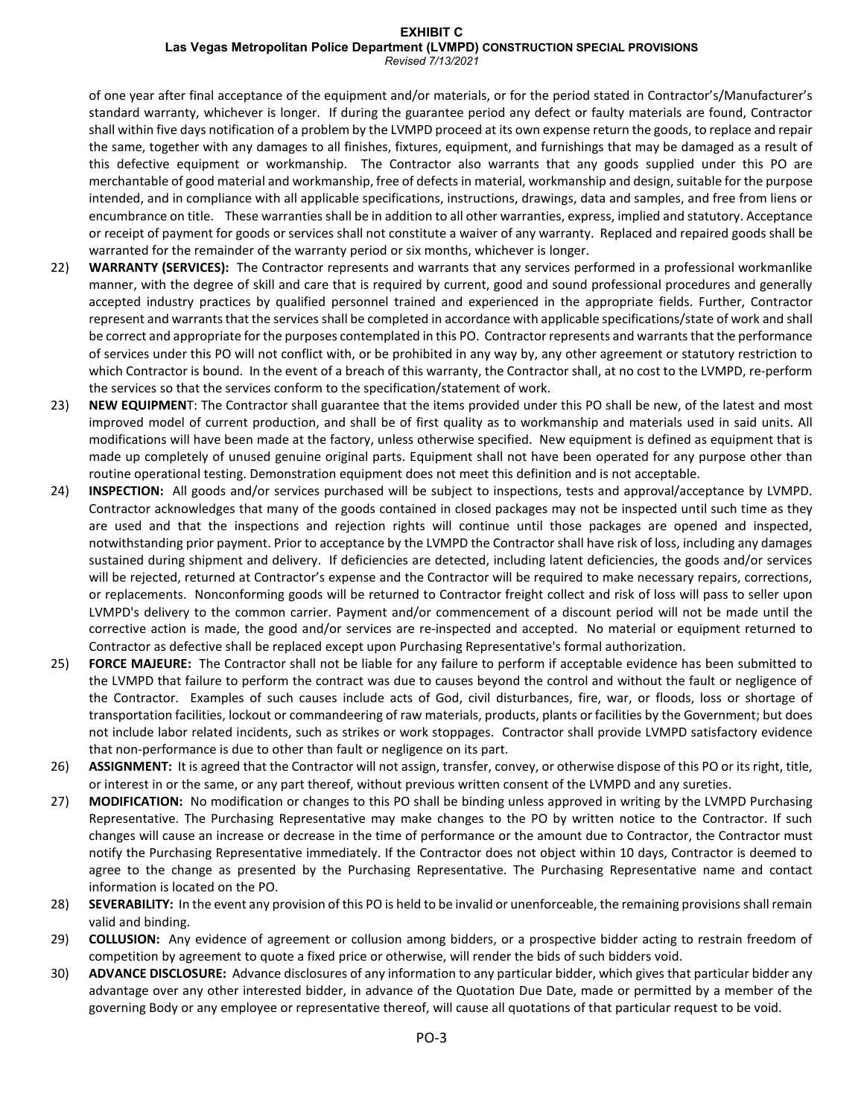# **EXHIBIT C Las Vegas Metropolitan Police Department (LVMPD) CONSTRUCTION SPECIAL PROVISIONS**

*Revised 7/13/2021*

of one year after final acceptance of the equipment and/or materials, or for the period stated in Contractor's/Manufacturer's standard warranty, whichever is longer. If during the guarantee period any defect or faulty materials are found, Contractor shall within five days notification of a problem by the LVMPD proceed at its own expense return the goods, to replace and repair the same, together with any damages to all finishes, fixtures, equipment, and furnishings that may be damaged as a result of this defective equipment or workmanship. The Contractor also warrants that any goods supplied under this PO are merchantable of good material and workmanship, free of defects in material, workmanship and design, suitable for the purpose intended, and in compliance with all applicable specifications, instructions, drawings, data and samples, and free from liens or encumbrance on title. These warranties shall be in addition to all other warranties, express, implied and statutory. Acceptance or receipt of payment for goods or services shall not constitute a waiver of any warranty. Replaced and repaired goods shall be warranted for the remainder of the warranty period or six months, whichever is longer.

- 22) **WARRANTY (SERVICES):** The Contractor represents and warrants that any services performed in a professional workmanlike manner, with the degree of skill and care that is required by current, good and sound professional procedures and generally accepted industry practices by qualified personnel trained and experienced in the appropriate fields. Further, Contractor represent and warrants that the services shall be completed in accordance with applicable specifications/state of work and shall be correct and appropriate for the purposes contemplated in this PO. Contractor represents and warrants that the performance of services under this PO will not conflict with, or be prohibited in any way by, any other agreement or statutory restriction to which Contractor is bound. In the event of a breach of this warranty, the Contractor shall, at no cost to the LVMPD, re-perform the services so that the services conform to the specification/statement of work.
- 23) **NEW EQUIPMEN**T: The Contractor shall guarantee that the items provided under this PO shall be new, of the latest and most improved model of current production, and shall be of first quality as to workmanship and materials used in said units. All modifications will have been made at the factory, unless otherwise specified. New equipment is defined as equipment that is made up completely of unused genuine original parts. Equipment shall not have been operated for any purpose other than routine operational testing. Demonstration equipment does not meet this definition and is not acceptable.
- 24) **INSPECTION:** All goods and/or services purchased will be subject to inspections, tests and approval/acceptance by LVMPD. Contractor acknowledges that many of the goods contained in closed packages may not be inspected until such time as they are used and that the inspections and rejection rights will continue until those packages are opened and inspected, notwithstanding prior payment. Prior to acceptance by the LVMPD the Contractor shall have risk of loss, including any damages sustained during shipment and delivery. If deficiencies are detected, including latent deficiencies, the goods and/or services will be rejected, returned at Contractor's expense and the Contractor will be required to make necessary repairs, corrections, or replacements. Nonconforming goods will be returned to Contractor freight collect and risk of loss will pass to seller upon LVMPD's delivery to the common carrier. Payment and/or commencement of a discount period will not be made until the corrective action is made, the good and/or services are re-inspected and accepted. No material or equipment returned to Contractor as defective shall be replaced except upon Purchasing Representative's formal authorization.
- 25) **FORCE MAJEURE:** The Contractor shall not be liable for any failure to perform if acceptable evidence has been submitted to the LVMPD that failure to perform the contract was due to causes beyond the control and without the fault or negligence of the Contractor. Examples of such causes include acts of God, civil disturbances, fire, war, or floods, loss or shortage of transportation facilities, lockout or commandeering of raw materials, products, plants or facilities by the Government; but does not include labor related incidents, such as strikes or work stoppages. Contractor shall provide LVMPD satisfactory evidence that non-performance is due to other than fault or negligence on its part.
- 26) **ASSIGNMENT:** It is agreed that the Contractor will not assign, transfer, convey, or otherwise dispose of this PO or its right, title, or interest in or the same, or any part thereof, without previous written consent of the LVMPD and any sureties.
- 27) **MODIFICATION:** No modification or changes to this PO shall be binding unless approved in writing by the LVMPD Purchasing Representative. The Purchasing Representative may make changes to the PO by written notice to the Contractor. If such changes will cause an increase or decrease in the time of performance or the amount due to Contractor, the Contractor must notify the Purchasing Representative immediately. If the Contractor does not object within 10 days, Contractor is deemed to agree to the change as presented by the Purchasing Representative. The Purchasing Representative name and contact information is located on the PO.
- 28) **SEVERABILITY:** In the event any provision of this PO is held to be invalid or unenforceable, the remaining provisions shall remain valid and binding.
- 29) **COLLUSION:** Any evidence of agreement or collusion among bidders, or a prospective bidder acting to restrain freedom of competition by agreement to quote a fixed price or otherwise, will render the bids of such bidders void.
- 30) **ADVANCE DISCLOSURE:** Advance disclosures of any information to any particular bidder, which gives that particular bidder any advantage over any other interested bidder, in advance of the Quotation Due Date, made or permitted by a member of the governing Body or any employee or representative thereof, will cause all quotations of that particular request to be void.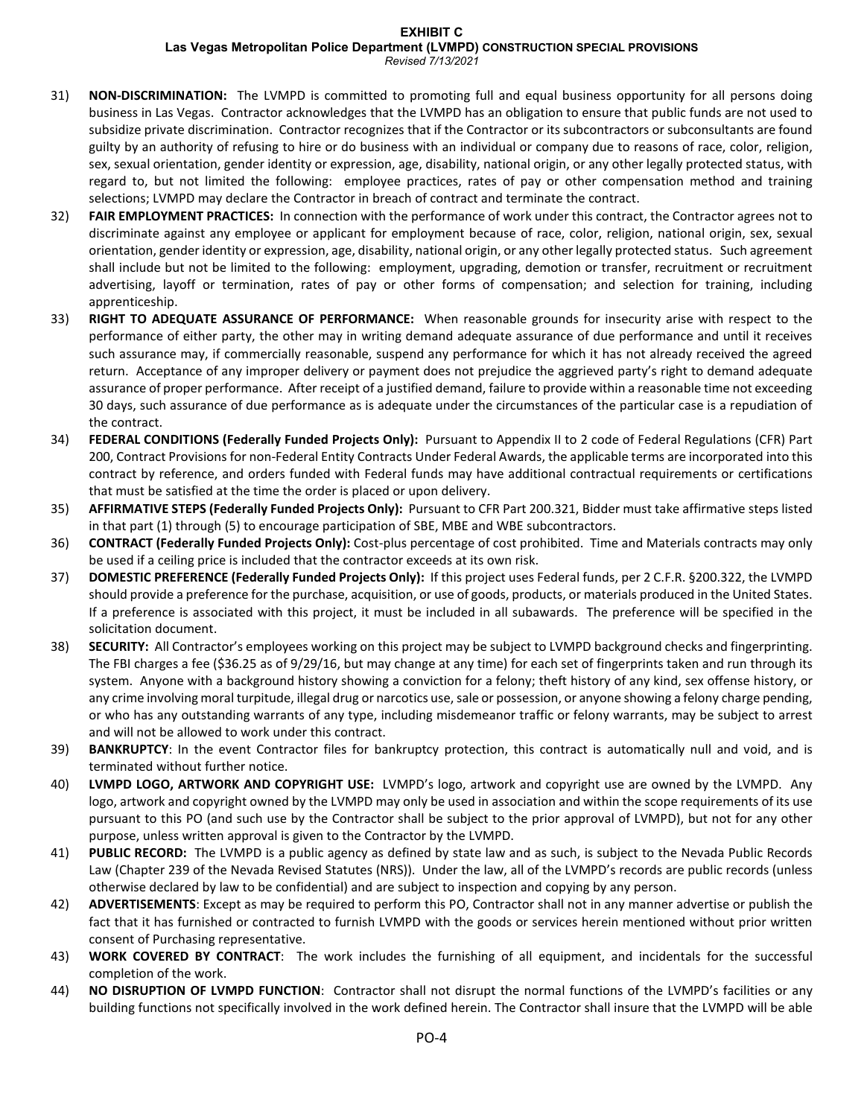## **EXHIBIT C**

**Las Vegas Metropolitan Police Department (LVMPD) CONSTRUCTION SPECIAL PROVISIONS**

*Revised 7/13/2021*

- 31) **NON-DISCRIMINATION:** The LVMPD is committed to promoting full and equal business opportunity for all persons doing business in Las Vegas. Contractor acknowledges that the LVMPD has an obligation to ensure that public funds are not used to subsidize private discrimination. Contractor recognizes that if the Contractor or its subcontractors or subconsultants are found guilty by an authority of refusing to hire or do business with an individual or company due to reasons of race, color, religion, sex, sexual orientation, gender identity or expression, age, disability, national origin, or any other legally protected status, with regard to, but not limited the following: employee practices, rates of pay or other compensation method and training selections; LVMPD may declare the Contractor in breach of contract and terminate the contract.
- 32) **FAIR EMPLOYMENT PRACTICES:** In connection with the performance of work under this contract, the Contractor agrees not to discriminate against any employee or applicant for employment because of race, color, religion, national origin, sex, sexual orientation, gender identity or expression, age, disability, national origin, or any other legally protected status. Such agreement shall include but not be limited to the following: employment, upgrading, demotion or transfer, recruitment or recruitment advertising, layoff or termination, rates of pay or other forms of compensation; and selection for training, including apprenticeship.
- 33) **RIGHT TO ADEQUATE ASSURANCE OF PERFORMANCE:** When reasonable grounds for insecurity arise with respect to the performance of either party, the other may in writing demand adequate assurance of due performance and until it receives such assurance may, if commercially reasonable, suspend any performance for which it has not already received the agreed return. Acceptance of any improper delivery or payment does not prejudice the aggrieved party's right to demand adequate assurance of proper performance. After receipt of a justified demand, failure to provide within a reasonable time not exceeding 30 days, such assurance of due performance as is adequate under the circumstances of the particular case is a repudiation of the contract.
- 34) **FEDERAL CONDITIONS (Federally Funded Projects Only):** Pursuant to Appendix II to 2 code of Federal Regulations (CFR) Part 200, Contract Provisions for non-Federal Entity Contracts Under Federal Awards, the applicable terms are incorporated into this contract by reference, and orders funded with Federal funds may have additional contractual requirements or certifications that must be satisfied at the time the order is placed or upon delivery.
- 35) **AFFIRMATIVE STEPS (Federally Funded Projects Only):** Pursuant to CFR Part 200.321, Bidder must take affirmative steps listed in that part (1) through (5) to encourage participation of SBE, MBE and WBE subcontractors.
- 36) **CONTRACT (Federally Funded Projects Only):** Cost-plus percentage of cost prohibited. Time and Materials contracts may only be used if a ceiling price is included that the contractor exceeds at its own risk.
- 37) **DOMESTIC PREFERENCE (Federally Funded Projects Only):** If this project uses Federal funds, per 2 C.F.R. §200.322, the LVMPD should provide a preference for the purchase, acquisition, or use of goods, products, or materials produced in the United States. If a preference is associated with this project, it must be included in all subawards. The preference will be specified in the solicitation document.
- 38) **SECURITY:** All Contractor's employees working on this project may be subject to LVMPD background checks and fingerprinting. The FBI charges a fee (\$36.25 as of 9/29/16, but may change at any time) for each set of fingerprints taken and run through its system. Anyone with a background history showing a conviction for a felony; theft history of any kind, sex offense history, or any crime involving moral turpitude, illegal drug or narcotics use, sale or possession, or anyone showing a felony charge pending, or who has any outstanding warrants of any type, including misdemeanor traffic or felony warrants, may be subject to arrest and will not be allowed to work under this contract.
- 39) **BANKRUPTCY**: In the event Contractor files for bankruptcy protection, this contract is automatically null and void, and is terminated without further notice.
- 40) **LVMPD LOGO, ARTWORK AND COPYRIGHT USE:** LVMPD's logo, artwork and copyright use are owned by the LVMPD. Any logo, artwork and copyright owned by the LVMPD may only be used in association and within the scope requirements of its use pursuant to this PO (and such use by the Contractor shall be subject to the prior approval of LVMPD), but not for any other purpose, unless written approval is given to the Contractor by the LVMPD.
- 41) **PUBLIC RECORD:** The LVMPD is a public agency as defined by state law and as such, is subject to the Nevada Public Records Law (Chapter 239 of the Nevada Revised Statutes (NRS)). Under the law, all of the LVMPD's records are public records (unless otherwise declared by law to be confidential) and are subject to inspection and copying by any person.
- 42) **ADVERTISEMENTS**: Except as may be required to perform this PO, Contractor shall not in any manner advertise or publish the fact that it has furnished or contracted to furnish LVMPD with the goods or services herein mentioned without prior written consent of Purchasing representative.
- 43) **WORK COVERED BY CONTRACT**: The work includes the furnishing of all equipment, and incidentals for the successful completion of the work.
- 44) **NO DISRUPTION OF LVMPD FUNCTION**: Contractor shall not disrupt the normal functions of the LVMPD's facilities or any building functions not specifically involved in the work defined herein. The Contractor shall insure that the LVMPD will be able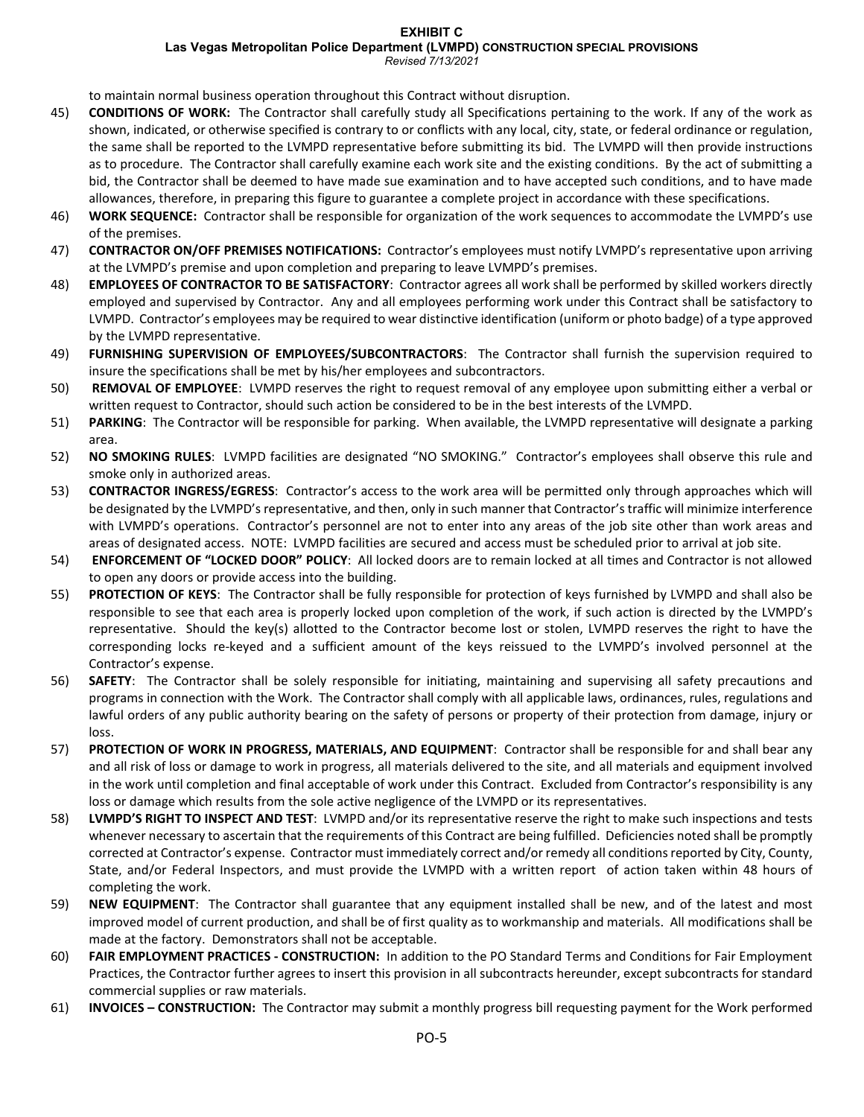#### **EXHIBIT C Las Vegas Metropolitan Police Department (LVMPD) CONSTRUCTION SPECIAL PROVISIONS** *Revised 7/13/2021*

to maintain normal business operation throughout this Contract without disruption.

- 45) **CONDITIONS OF WORK:** The Contractor shall carefully study all Specifications pertaining to the work. If any of the work as shown, indicated, or otherwise specified is contrary to or conflicts with any local, city, state, or federal ordinance or regulation, the same shall be reported to the LVMPD representative before submitting its bid. The LVMPD will then provide instructions as to procedure. The Contractor shall carefully examine each work site and the existing conditions. By the act of submitting a bid, the Contractor shall be deemed to have made sue examination and to have accepted such conditions, and to have made allowances, therefore, in preparing this figure to guarantee a complete project in accordance with these specifications.
- 46) **WORK SEQUENCE:** Contractor shall be responsible for organization of the work sequences to accommodate the LVMPD's use of the premises.
- 47) **CONTRACTOR ON/OFF PREMISES NOTIFICATIONS:** Contractor's employees must notify LVMPD's representative upon arriving at the LVMPD's premise and upon completion and preparing to leave LVMPD's premises.
- 48) **EMPLOYEES OF CONTRACTOR TO BE SATISFACTORY**: Contractor agrees all work shall be performed by skilled workers directly employed and supervised by Contractor. Any and all employees performing work under this Contract shall be satisfactory to LVMPD. Contractor's employees may be required to wear distinctive identification (uniform or photo badge) of a type approved by the LVMPD representative.
- 49) **FURNISHING SUPERVISION OF EMPLOYEES/SUBCONTRACTORS**: The Contractor shall furnish the supervision required to insure the specifications shall be met by his/her employees and subcontractors.
- 50) **REMOVAL OF EMPLOYEE**: LVMPD reserves the right to request removal of any employee upon submitting either a verbal or written request to Contractor, should such action be considered to be in the best interests of the LVMPD.
- 51) **PARKING**: The Contractor will be responsible for parking. When available, the LVMPD representative will designate a parking area.
- 52) **NO SMOKING RULES**: LVMPD facilities are designated "NO SMOKING." Contractor's employees shall observe this rule and smoke only in authorized areas.
- 53) **CONTRACTOR INGRESS/EGRESS**: Contractor's access to the work area will be permitted only through approaches which will be designated by the LVMPD's representative, and then, only in such manner that Contractor's traffic will minimize interference with LVMPD's operations. Contractor's personnel are not to enter into any areas of the job site other than work areas and areas of designated access. NOTE: LVMPD facilities are secured and access must be scheduled prior to arrival at job site.
- 54) **ENFORCEMENT OF "LOCKED DOOR" POLICY**: All locked doors are to remain locked at all times and Contractor is not allowed to open any doors or provide access into the building.
- 55) **PROTECTION OF KEYS**: The Contractor shall be fully responsible for protection of keys furnished by LVMPD and shall also be responsible to see that each area is properly locked upon completion of the work, if such action is directed by the LVMPD's representative. Should the key(s) allotted to the Contractor become lost or stolen, LVMPD reserves the right to have the corresponding locks re-keyed and a sufficient amount of the keys reissued to the LVMPD's involved personnel at the Contractor's expense.
- 56) **SAFETY**: The Contractor shall be solely responsible for initiating, maintaining and supervising all safety precautions and programs in connection with the Work. The Contractor shall comply with all applicable laws, ordinances, rules, regulations and lawful orders of any public authority bearing on the safety of persons or property of their protection from damage, injury or loss.
- 57) **PROTECTION OF WORK IN PROGRESS, MATERIALS, AND EQUIPMENT**: Contractor shall be responsible for and shall bear any and all risk of loss or damage to work in progress, all materials delivered to the site, and all materials and equipment involved in the work until completion and final acceptable of work under this Contract. Excluded from Contractor's responsibility is any loss or damage which results from the sole active negligence of the LVMPD or its representatives.
- 58) **LVMPD'S RIGHT TO INSPECT AND TEST**: LVMPD and/or its representative reserve the right to make such inspections and tests whenever necessary to ascertain that the requirements of this Contract are being fulfilled. Deficiencies noted shall be promptly corrected at Contractor's expense. Contractor must immediately correct and/or remedy all conditions reported by City, County, State, and/or Federal Inspectors, and must provide the LVMPD with a written report of action taken within 48 hours of completing the work.
- 59) **NEW EQUIPMENT**: The Contractor shall guarantee that any equipment installed shall be new, and of the latest and most improved model of current production, and shall be of first quality as to workmanship and materials. All modifications shall be made at the factory. Demonstrators shall not be acceptable.
- 60) **FAIR EMPLOYMENT PRACTICES - CONSTRUCTION:** In addition to the PO Standard Terms and Conditions for Fair Employment Practices, the Contractor further agrees to insert this provision in all subcontracts hereunder, except subcontracts for standard commercial supplies or raw materials.
- 61) **INVOICES – CONSTRUCTION:** The Contractor may submit a monthly progress bill requesting payment for the Work performed